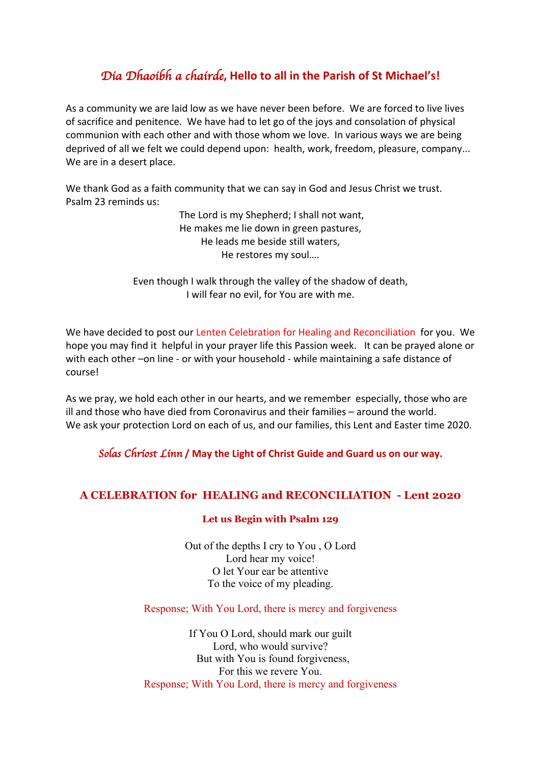# *Dia Dhaoibh a chairde***, Hello to all in the Parish of St Michael's!**

As a community we are laid low as we have never been before. We are forced to live lives of sacrifice and penitence. We have had to let go of the joys and consolation of physical communion with each other and with those whom we love. In various ways we are being deprived of all we felt we could depend upon: health, work, freedom, pleasure, company... We are in a desert place.

We thank God as a faith community that we can say in God and Jesus Christ we trust. Psalm 23 reminds us:

> The Lord is my Shepherd; I shall not want, He makes me lie down in green pastures, He leads me beside still waters, He restores my soul….

Even though I walk through the valley of the shadow of death, I will fear no evil, for You are with me.

We have decided to post our Lenten Celebration for Healing and Reconciliation for you. We hope you may find it helpful in your prayer life this Passion week. It can be prayed alone or with each other –on line - or with your household - while maintaining a safe distance of course!

As we pray, we hold each other in our hearts, and we remember especially, those who are ill and those who have died from Coronavirus and their families – around the world. We ask your protection Lord on each of us, and our families, this Lent and Easter time 2020.

*Solas Chr*í*ost Linn* **/ May the Light of Christ Guide and Guard us on our way.**

### **A CELEBRATION for HEALING and RECONCILIATION - Lent 2020**

#### **Let us Begin with Psalm 129**

Out of the depths I cry to You , O Lord Lord hear my voice! O let Your ear be attentive To the voice of my pleading.

Response; With You Lord, there is mercy and forgiveness

If You O Lord, should mark our guilt Lord, who would survive? But with You is found forgiveness, For this we revere You. Response; With You Lord, there is mercy and forgiveness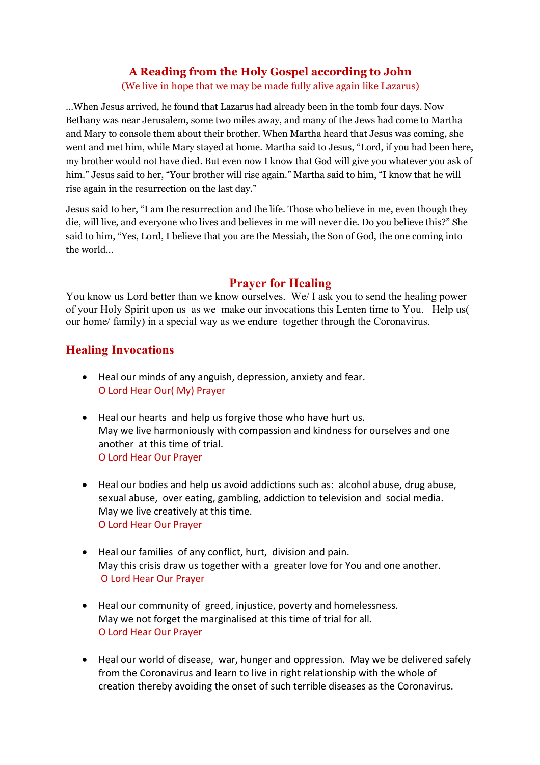## **A Reading from the Holy Gospel according to John**

(We live in hope that we may be made fully alive again like Lazarus)

…When Jesus arrived, he found that Lazarus had already been in the tomb four days. Now Bethany was near Jerusalem, some two miles away, and many of the Jews had come to Martha and Mary to console them about their brother. When Martha heard that Jesus was coming, she went and met him, while Mary stayed at home. Martha said to Jesus, "Lord, if you had been here, my brother would not have died. But even now I know that God will give you whatever you ask of him." Jesus said to her, "Your brother will rise again." Martha said to him, "I know that he will rise again in the resurrection on the last day."

Jesus said to her, "I am the resurrection and the life. Those who believe in me, even though they die, will live, and everyone who lives and believes in me will never die. Do you believe this?" She said to him, "Yes, Lord, I believe that you are the Messiah, the Son of God, the one coming into the world…

## **Prayer for Healing**

You know us Lord better than we know ourselves. We/ I ask you to send the healing power of your Holy Spirit upon us as we make our invocations this Lenten time to You. Help us( our home/ family) in a special way as we endure together through the Coronavirus.

# **Healing Invocations**

- Heal our minds of any anguish, depression, anxiety and fear. O Lord Hear Our( My) Prayer
- Heal our hearts and help us forgive those who have hurt us. May we live harmoniously with compassion and kindness for ourselves and one another at this time of trial. O Lord Hear Our Prayer
- Heal our bodies and help us avoid addictions such as: alcohol abuse, drug abuse, sexual abuse, over eating, gambling, addiction to television and social media. May we live creatively at this time. O Lord Hear Our Prayer
- Heal our families of any conflict, hurt, division and pain. May this crisis draw us together with a greater love for You and one another. O Lord Hear Our Prayer
- Heal our community of greed, injustice, poverty and homelessness. May we not forget the marginalised at this time of trial for all. O Lord Hear Our Prayer
- Heal our world of disease, war, hunger and oppression. May we be delivered safely from the Coronavirus and learn to live in right relationship with the whole of creation thereby avoiding the onset of such terrible diseases as the Coronavirus.